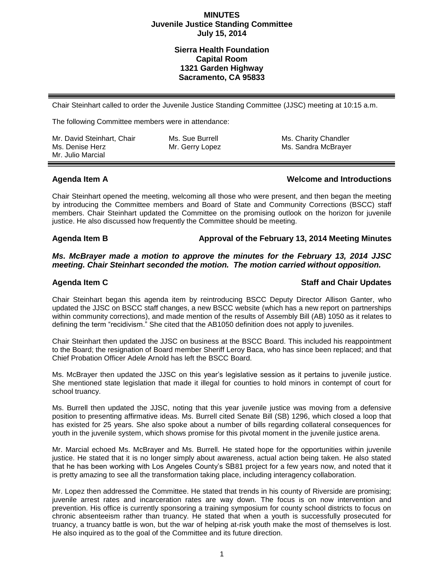# **Sierra Health Foundation Capital Room 1321 Garden Highway Sacramento, CA 95833**

Chair Steinhart called to order the Juvenile Justice Standing Committee (JJSC) meeting at 10:15 a.m.

The following Committee members were in attendance:

| Mr. David Steinhart, Chair | Ms. Sue Burrell | Ms. Charity Chandler |
|----------------------------|-----------------|----------------------|
| Ms. Denise Herz            | Mr. Gerry Lopez | Ms. Sandra McBrayer  |
| Mr. Julio Marcial          |                 |                      |

## **Agenda Item A Welcome and Introductions**

Chair Steinhart opened the meeting, welcoming all those who were present, and then began the meeting by introducing the Committee members and Board of State and Community Corrections (BSCC) staff members. Chair Steinhart updated the Committee on the promising outlook on the horizon for juvenile justice. He also discussed how frequently the Committee should be meeting.

# **Agenda Item B Approval of the February 13, 2014 Meeting Minutes**

*Ms. McBrayer made a motion to approve the minutes for the February 13, 2014 JJSC meeting. Chair Steinhart seconded the motion. The motion carried without opposition.*

## **Agenda Item C Staff and Chair Updates**

Chair Steinhart began this agenda item by reintroducing BSCC Deputy Director Allison Ganter, who updated the JJSC on BSCC staff changes, a new BSCC website (which has a new report on partnerships within community corrections), and made mention of the results of Assembly Bill (AB) 1050 as it relates to defining the term "recidivism." She cited that the AB1050 definition does not apply to juveniles.

Chair Steinhart then updated the JJSC on business at the BSCC Board. This included his reappointment to the Board; the resignation of Board member Sheriff Leroy Baca, who has since been replaced; and that Chief Probation Officer Adele Arnold has left the BSCC Board.

Ms. McBrayer then updated the JJSC on this year's legislative session as it pertains to juvenile justice. She mentioned state legislation that made it illegal for counties to hold minors in contempt of court for school truancy.

Ms. Burrell then updated the JJSC, noting that this year juvenile justice was moving from a defensive position to presenting affirmative ideas. Ms. Burrell cited Senate Bill (SB) 1296, which closed a loop that has existed for 25 years. She also spoke about a number of bills regarding collateral consequences for youth in the juvenile system, which shows promise for this pivotal moment in the juvenile justice arena.

Mr. Marcial echoed Ms. McBrayer and Ms. Burrell. He stated hope for the opportunities within juvenile justice. He stated that it is no longer simply about awareness, actual action being taken. He also stated that he has been working with Los Angeles County's SB81 project for a few years now, and noted that it is pretty amazing to see all the transformation taking place, including interagency collaboration.

Mr. Lopez then addressed the Committee. He stated that trends in his county of Riverside are promising; juvenile arrest rates and incarceration rates are way down. The focus is on now intervention and prevention. His office is currently sponsoring a training symposium for county school districts to focus on chronic absenteeism rather than truancy. He stated that when a youth is successfully prosecuted for truancy, a truancy battle is won, but the war of helping at-risk youth make the most of themselves is lost. He also inquired as to the goal of the Committee and its future direction.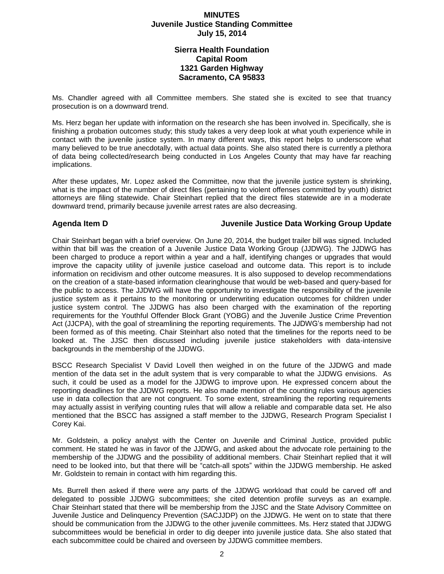# **Sierra Health Foundation Capital Room 1321 Garden Highway Sacramento, CA 95833**

Ms. Chandler agreed with all Committee members. She stated she is excited to see that truancy prosecution is on a downward trend.

Ms. Herz began her update with information on the research she has been involved in. Specifically, she is finishing a probation outcomes study; this study takes a very deep look at what youth experience while in contact with the juvenile justice system. In many different ways, this report helps to underscore what many believed to be true anecdotally, with actual data points. She also stated there is currently a plethora of data being collected/research being conducted in Los Angeles County that may have far reaching implications.

After these updates, Mr. Lopez asked the Committee, now that the juvenile justice system is shrinking, what is the impact of the number of direct files (pertaining to violent offenses committed by youth) district attorneys are filing statewide. Chair Steinhart replied that the direct files statewide are in a moderate downward trend, primarily because juvenile arrest rates are also decreasing.

## **Agenda Item D Juvenile Justice Data Working Group Update**

Chair Steinhart began with a brief overview. On June 20, 2014, the budget trailer bill was signed. Included within that bill was the creation of a Juvenile Justice Data Working Group (JJDWG). The JJDWG has been charged to produce a report within a year and a half, identifying changes or upgrades that would improve the capacity utility of juvenile justice caseload and outcome data. This report is to include information on recidivism and other outcome measures. It is also supposed to develop recommendations on the creation of a state-based information clearinghouse that would be web-based and query-based for the public to access. The JJDWG will have the opportunity to investigate the responsibility of the juvenile justice system as it pertains to the monitoring or underwriting education outcomes for children under justice system control. The JJDWG has also been charged with the examination of the reporting requirements for the Youthful Offender Block Grant (YOBG) and the Juvenile Justice Crime Prevention Act (JJCPA), with the goal of streamlining the reporting requirements. The JJDWG's membership had not been formed as of this meeting. Chair Steinhart also noted that the timelines for the reports need to be looked at. The JJSC then discussed including juvenile justice stakeholders with data-intensive backgrounds in the membership of the JJDWG.

BSCC Research Specialist V David Lovell then weighed in on the future of the JJDWG and made mention of the data set in the adult system that is very comparable to what the JJDWG envisions. As such, it could be used as a model for the JJDWG to improve upon. He expressed concern about the reporting deadlines for the JJDWG reports. He also made mention of the counting rules various agencies use in data collection that are not congruent. To some extent, streamlining the reporting requirements may actually assist in verifying counting rules that will allow a reliable and comparable data set. He also mentioned that the BSCC has assigned a staff member to the JJDWG, Research Program Specialist I Corey Kai.

Mr. Goldstein, a policy analyst with the Center on Juvenile and Criminal Justice, provided public comment. He stated he was in favor of the JJDWG, and asked about the advocate role pertaining to the membership of the JJDWG and the possibility of additional members. Chair Steinhart replied that it will need to be looked into, but that there will be "catch-all spots" within the JJDWG membership. He asked Mr. Goldstein to remain in contact with him regarding this.

Ms. Burrell then asked if there were any parts of the JJDWG workload that could be carved off and delegated to possible JJDWG subcommittees; she cited detention profile surveys as an example. Chair Steinhart stated that there will be membership from the JJSC and the State Advisory Committee on Juvenile Justice and Delinquency Prevention (SACJJDP) on the JJDWG. He went on to state that there should be communication from the JJDWG to the other juvenile committees. Ms. Herz stated that JJDWG subcommittees would be beneficial in order to dig deeper into juvenile justice data. She also stated that each subcommittee could be chaired and overseen by JJDWG committee members.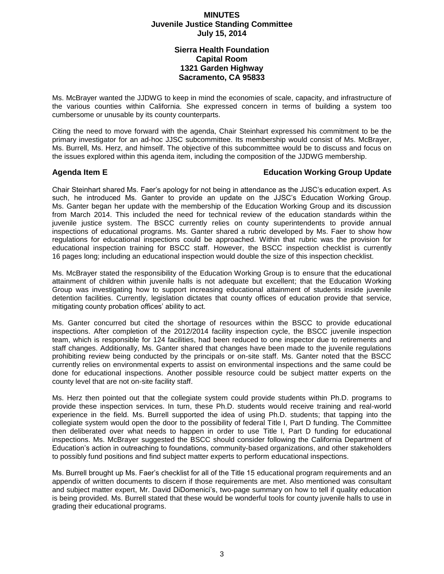# **Sierra Health Foundation Capital Room 1321 Garden Highway Sacramento, CA 95833**

Ms. McBrayer wanted the JJDWG to keep in mind the economies of scale, capacity, and infrastructure of the various counties within California. She expressed concern in terms of building a system too cumbersome or unusable by its county counterparts.

Citing the need to move forward with the agenda, Chair Steinhart expressed his commitment to be the primary investigator for an ad-hoc JJSC subcommittee. Its membership would consist of Ms. McBrayer, Ms. Burrell, Ms. Herz, and himself. The objective of this subcommittee would be to discuss and focus on the issues explored within this agenda item, including the composition of the JJDWG membership.

# **Agenda Item E Education Working Group Update**

Chair Steinhart shared Ms. Faer's apology for not being in attendance as the JJSC's education expert. As such, he introduced Ms. Ganter to provide an update on the JJSC's Education Working Group. Ms. Ganter began her update with the membership of the Education Working Group and its discussion from March 2014. This included the need for technical review of the education standards within the juvenile justice system. The BSCC currently relies on county superintendents to provide annual inspections of educational programs. Ms. Ganter shared a rubric developed by Ms. Faer to show how regulations for educational inspections could be approached. Within that rubric was the provision for educational inspection training for BSCC staff. However, the BSCC inspection checklist is currently 16 pages long; including an educational inspection would double the size of this inspection checklist.

Ms. McBrayer stated the responsibility of the Education Working Group is to ensure that the educational attainment of children within juvenile halls is not adequate but excellent; that the Education Working Group was investigating how to support increasing educational attainment of students inside juvenile detention facilities. Currently, legislation dictates that county offices of education provide that service, mitigating county probation offices' ability to act.

Ms. Ganter concurred but cited the shortage of resources within the BSCC to provide educational inspections. After completion of the 2012/2014 facility inspection cycle, the BSCC juvenile inspection team, which is responsible for 124 facilities, had been reduced to one inspector due to retirements and staff changes. Additionally, Ms. Ganter shared that changes have been made to the juvenile regulations prohibiting review being conducted by the principals or on-site staff. Ms. Ganter noted that the BSCC currently relies on environmental experts to assist on environmental inspections and the same could be done for educational inspections. Another possible resource could be subject matter experts on the county level that are not on-site facility staff.

Ms. Herz then pointed out that the collegiate system could provide students within Ph.D. programs to provide these inspection services. In turn, these Ph.D. students would receive training and real-world experience in the field. Ms. Burrell supported the idea of using Ph.D. students; that tapping into the collegiate system would open the door to the possibility of federal Title I, Part D funding. The Committee then deliberated over what needs to happen in order to use Title I, Part D funding for educational inspections. Ms. McBrayer suggested the BSCC should consider following the California Department of Education's action in outreaching to foundations, community-based organizations, and other stakeholders to possibly fund positions and find subject matter experts to perform educational inspections.

Ms. Burrell brought up Ms. Faer's checklist for all of the Title 15 educational program requirements and an appendix of written documents to discern if those requirements are met. Also mentioned was consultant and subject matter expert, Mr. David DiDomenici's, two-page summary on how to tell if quality education is being provided. Ms. Burrell stated that these would be wonderful tools for county juvenile halls to use in grading their educational programs.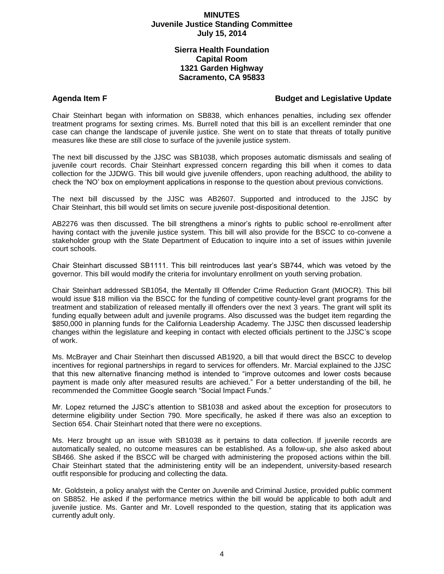# **Sierra Health Foundation Capital Room 1321 Garden Highway Sacramento, CA 95833**

# Agenda Item F<br> **Budget and Legislative Update**

Chair Steinhart began with information on SB838, which enhances penalties, including sex offender treatment programs for sexting crimes. Ms. Burrell noted that this bill is an excellent reminder that one case can change the landscape of juvenile justice. She went on to state that threats of totally punitive measures like these are still close to surface of the juvenile justice system.

The next bill discussed by the JJSC was SB1038, which proposes automatic dismissals and sealing of juvenile court records. Chair Steinhart expressed concern regarding this bill when it comes to data collection for the JJDWG. This bill would give juvenile offenders, upon reaching adulthood, the ability to check the 'NO' box on employment applications in response to the question about previous convictions.

The next bill discussed by the JJSC was AB2607. Supported and introduced to the JJSC by Chair Steinhart, this bill would set limits on secure juvenile post-dispositional detention.

AB2276 was then discussed. The bill strengthens a minor's rights to public school re-enrollment after having contact with the juvenile justice system. This bill will also provide for the BSCC to co-convene a stakeholder group with the State Department of Education to inquire into a set of issues within juvenile court schools.

Chair Steinhart discussed SB1111. This bill reintroduces last year's SB744, which was vetoed by the governor. This bill would modify the criteria for involuntary enrollment on youth serving probation.

Chair Steinhart addressed SB1054, the Mentally Ill Offender Crime Reduction Grant (MIOCR). This bill would issue \$18 million via the BSCC for the funding of competitive county-level grant programs for the treatment and stabilization of released mentally ill offenders over the next 3 years. The grant will split its funding equally between adult and juvenile programs. Also discussed was the budget item regarding the \$850,000 in planning funds for the California Leadership Academy. The JJSC then discussed leadership changes within the legislature and keeping in contact with elected officials pertinent to the JJSC's scope of work.

Ms. McBrayer and Chair Steinhart then discussed AB1920, a bill that would direct the BSCC to develop incentives for regional partnerships in regard to services for offenders. Mr. Marcial explained to the JJSC that this new alternative financing method is intended to "improve outcomes and lower costs because payment is made only after measured results are achieved." For a better understanding of the bill, he recommended the Committee Google search "Social Impact Funds."

Mr. Lopez returned the JJSC's attention to SB1038 and asked about the exception for prosecutors to determine eligibility under Section 790. More specifically, he asked if there was also an exception to Section 654. Chair Steinhart noted that there were no exceptions.

Ms. Herz brought up an issue with SB1038 as it pertains to data collection. If juvenile records are automatically sealed, no outcome measures can be established. As a follow-up, she also asked about SB466. She asked if the BSCC will be charged with administering the proposed actions within the bill. Chair Steinhart stated that the administering entity will be an independent, university-based research outfit responsible for producing and collecting the data.

Mr. Goldstein, a policy analyst with the Center on Juvenile and Criminal Justice, provided public comment on SB852. He asked if the performance metrics within the bill would be applicable to both adult and juvenile justice. Ms. Ganter and Mr. Lovell responded to the question, stating that its application was currently adult only.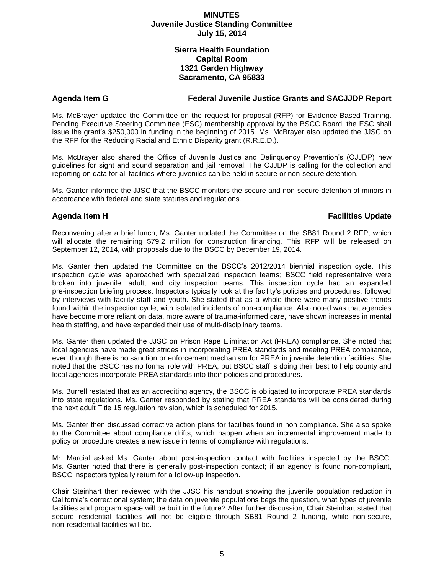# **Sierra Health Foundation Capital Room 1321 Garden Highway Sacramento, CA 95833**

## **Agenda Item G Federal Juvenile Justice Grants and SACJJDP Report**

Ms. McBrayer updated the Committee on the request for proposal (RFP) for Evidence-Based Training. Pending Executive Steering Committee (ESC) membership approval by the BSCC Board, the ESC shall issue the grant's \$250,000 in funding in the beginning of 2015. Ms. McBrayer also updated the JJSC on the RFP for the Reducing Racial and Ethnic Disparity grant (R.R.E.D.).

Ms. McBrayer also shared the Office of Juvenile Justice and Delinquency Prevention's (OJJDP) new guidelines for sight and sound separation and jail removal. The OJJDP is calling for the collection and reporting on data for all facilities where juveniles can be held in secure or non-secure detention.

Ms. Ganter informed the JJSC that the BSCC monitors the secure and non-secure detention of minors in accordance with federal and state statutes and regulations.

## **Agenda Item H Facilities Update**

Reconvening after a brief lunch, Ms. Ganter updated the Committee on the SB81 Round 2 RFP, which will allocate the remaining \$79.2 million for construction financing. This RFP will be released on September 12, 2014, with proposals due to the BSCC by December 19, 2014.

Ms. Ganter then updated the Committee on the BSCC's 2012/2014 biennial inspection cycle. This inspection cycle was approached with specialized inspection teams; BSCC field representative were broken into juvenile, adult, and city inspection teams. This inspection cycle had an expanded pre-inspection briefing process. Inspectors typically look at the facility's policies and procedures, followed by interviews with facility staff and youth. She stated that as a whole there were many positive trends found within the inspection cycle, with isolated incidents of non-compliance. Also noted was that agencies have become more reliant on data, more aware of trauma-informed care, have shown increases in mental health staffing, and have expanded their use of multi-disciplinary teams.

Ms. Ganter then updated the JJSC on Prison Rape Elimination Act (PREA) compliance. She noted that local agencies have made great strides in incorporating PREA standards and meeting PREA compliance, even though there is no sanction or enforcement mechanism for PREA in juvenile detention facilities. She noted that the BSCC has no formal role with PREA, but BSCC staff is doing their best to help county and local agencies incorporate PREA standards into their policies and procedures.

Ms. Burrell restated that as an accrediting agency, the BSCC is obligated to incorporate PREA standards into state regulations. Ms. Ganter responded by stating that PREA standards will be considered during the next adult Title 15 regulation revision, which is scheduled for 2015.

Ms. Ganter then discussed corrective action plans for facilities found in non compliance. She also spoke to the Committee about compliance drifts, which happen when an incremental improvement made to policy or procedure creates a new issue in terms of compliance with regulations.

Mr. Marcial asked Ms. Ganter about post-inspection contact with facilities inspected by the BSCC. Ms. Ganter noted that there is generally post-inspection contact; if an agency is found non-compliant, BSCC inspectors typically return for a follow-up inspection.

Chair Steinhart then reviewed with the JJSC his handout showing the juvenile population reduction in California's correctional system; the data on juvenile populations begs the question, what types of juvenile facilities and program space will be built in the future? After further discussion, Chair Steinhart stated that secure residential facilities will not be eligible through SB81 Round 2 funding, while non-secure, non-residential facilities will be.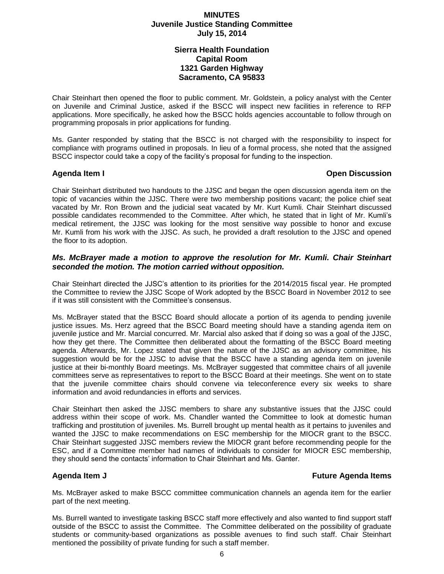# **Sierra Health Foundation Capital Room 1321 Garden Highway Sacramento, CA 95833**

Chair Steinhart then opened the floor to public comment. Mr. Goldstein, a policy analyst with the Center on Juvenile and Criminal Justice, asked if the BSCC will inspect new facilities in reference to RFP applications. More specifically, he asked how the BSCC holds agencies accountable to follow through on programming proposals in prior applications for funding.

Ms. Ganter responded by stating that the BSCC is not charged with the responsibility to inspect for compliance with programs outlined in proposals. In lieu of a formal process, she noted that the assigned BSCC inspector could take a copy of the facility's proposal for funding to the inspection.

# **Agenda Item I Open Discussion**

Chair Steinhart distributed two handouts to the JJSC and began the open discussion agenda item on the topic of vacancies within the JJSC. There were two membership positions vacant; the police chief seat vacated by Mr. Ron Brown and the judicial seat vacated by Mr. Kurt Kumli. Chair Steinhart discussed possible candidates recommended to the Committee. After which, he stated that in light of Mr. Kumli's medical retirement, the JJSC was looking for the most sensitive way possible to honor and excuse Mr. Kumli from his work with the JJSC. As such, he provided a draft resolution to the JJSC and opened the floor to its adoption.

# *Ms. McBrayer made a motion to approve the resolution for Mr. Kumli. Chair Steinhart seconded the motion. The motion carried without opposition.*

Chair Steinhart directed the JJSC's attention to its priorities for the 2014/2015 fiscal year. He prompted the Committee to review the JJSC Scope of Work adopted by the BSCC Board in November 2012 to see if it was still consistent with the Committee's consensus.

Ms. McBrayer stated that the BSCC Board should allocate a portion of its agenda to pending juvenile justice issues. Ms. Herz agreed that the BSCC Board meeting should have a standing agenda item on juvenile justice and Mr. Marcial concurred. Mr. Marcial also asked that if doing so was a goal of the JJSC, how they get there. The Committee then deliberated about the formatting of the BSCC Board meeting agenda. Afterwards, Mr. Lopez stated that given the nature of the JJSC as an advisory committee, his suggestion would be for the JJSC to advise that the BSCC have a standing agenda item on juvenile justice at their bi-monthly Board meetings. Ms. McBrayer suggested that committee chairs of all juvenile committees serve as representatives to report to the BSCC Board at their meetings. She went on to state that the juvenile committee chairs should convene via teleconference every six weeks to share information and avoid redundancies in efforts and services.

Chair Steinhart then asked the JJSC members to share any substantive issues that the JJSC could address within their scope of work. Ms. Chandler wanted the Committee to look at domestic human trafficking and prostitution of juveniles. Ms. Burrell brought up mental health as it pertains to juveniles and wanted the JJSC to make recommendations on ESC membership for the MIOCR grant to the BSCC. Chair Steinhart suggested JJSC members review the MIOCR grant before recommending people for the ESC, and if a Committee member had names of individuals to consider for MIOCR ESC membership, they should send the contacts' information to Chair Steinhart and Ms. Ganter.

## **Agenda Item J Future Agenda Items**

Ms. McBrayer asked to make BSCC committee communication channels an agenda item for the earlier part of the next meeting.

Ms. Burrell wanted to investigate tasking BSCC staff more effectively and also wanted to find support staff outside of the BSCC to assist the Committee. The Committee deliberated on the possibility of graduate students or community-based organizations as possible avenues to find such staff. Chair Steinhart mentioned the possibility of private funding for such a staff member.